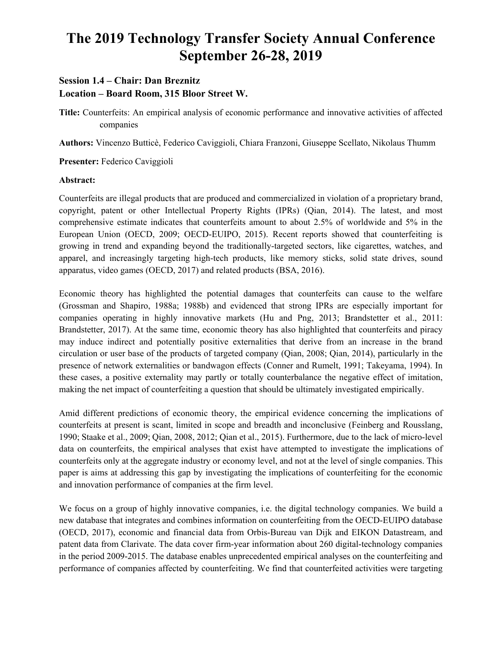# **The 2019 Technology Transfer Society Annual Conference September 26-28, 2019**

## **Session 1.4 – Chair: Dan Breznitz**

**Location – Board Room, 315 Bloor Street W.** 

**Title:** Counterfeits: An empirical analysis of economic performance and innovative activities of affected companies

**Authors:** Vincenzo Butticè, Federico Caviggioli, Chiara Franzoni, Giuseppe Scellato, Nikolaus Thumm

**Presenter:** Federico Caviggioli

#### **Abstract:**

Counterfeits are illegal products that are produced and commercialized in violation of a proprietary brand, copyright, patent or other Intellectual Property Rights (IPRs) (Qian, 2014). The latest, and most comprehensive estimate indicates that counterfeits amount to about 2.5% of worldwide and 5% in the European Union (OECD, 2009; OECD-EUIPO, 2015). Recent reports showed that counterfeiting is growing in trend and expanding beyond the traditionally-targeted sectors, like cigarettes, watches, and apparel, and increasingly targeting high-tech products, like memory sticks, solid state drives, sound apparatus, video games (OECD, 2017) and related products (BSA, 2016).

Economic theory has highlighted the potential damages that counterfeits can cause to the welfare (Grossman and Shapiro, 1988a; 1988b) and evidenced that strong IPRs are especially important for companies operating in highly innovative markets (Hu and Png, 2013; Brandstetter et al., 2011: Brandstetter, 2017). At the same time, economic theory has also highlighted that counterfeits and piracy may induce indirect and potentially positive externalities that derive from an increase in the brand circulation or user base of the products of targeted company (Qian, 2008; Qian, 2014), particularly in the presence of network externalities or bandwagon effects (Conner and Rumelt, 1991; Takeyama, 1994). In these cases, a positive externality may partly or totally counterbalance the negative effect of imitation, making the net impact of counterfeiting a question that should be ultimately investigated empirically.

Amid different predictions of economic theory, the empirical evidence concerning the implications of counterfeits at present is scant, limited in scope and breadth and inconclusive (Feinberg and Rousslang, 1990; Staake et al., 2009; Qian, 2008, 2012; Qian et al., 2015). Furthermore, due to the lack of micro-level data on counterfeits, the empirical analyses that exist have attempted to investigate the implications of counterfeits only at the aggregate industry or economy level, and not at the level of single companies. This paper is aims at addressing this gap by investigating the implications of counterfeiting for the economic and innovation performance of companies at the firm level.

We focus on a group of highly innovative companies, i.e. the digital technology companies. We build a new database that integrates and combines information on counterfeiting from the OECD-EUIPO database (OECD, 2017), economic and financial data from Orbis-Bureau van Dijk and EIKON Datastream, and patent data from Clarivate. The data cover firm-year information about 260 digital-technology companies in the period 2009-2015. The database enables unprecedented empirical analyses on the counterfeiting and performance of companies affected by counterfeiting. We find that counterfeited activities were targeting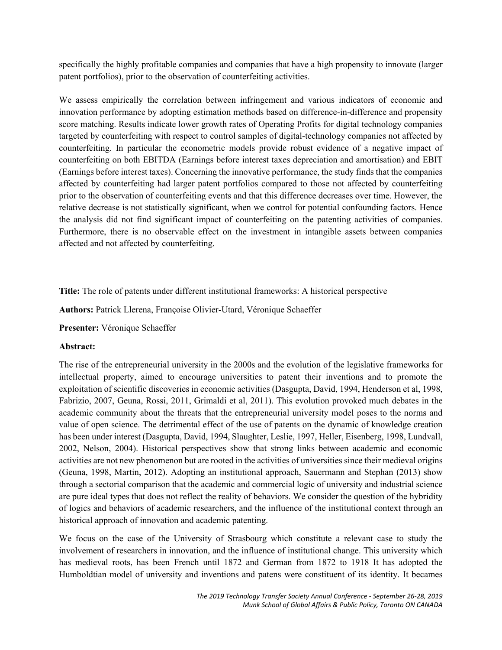specifically the highly profitable companies and companies that have a high propensity to innovate (larger patent portfolios), prior to the observation of counterfeiting activities.

We assess empirically the correlation between infringement and various indicators of economic and innovation performance by adopting estimation methods based on difference-in-difference and propensity score matching. Results indicate lower growth rates of Operating Profits for digital technology companies targeted by counterfeiting with respect to control samples of digital-technology companies not affected by counterfeiting. In particular the econometric models provide robust evidence of a negative impact of counterfeiting on both EBITDA (Earnings before interest taxes depreciation and amortisation) and EBIT (Earnings before interest taxes). Concerning the innovative performance, the study finds that the companies affected by counterfeiting had larger patent portfolios compared to those not affected by counterfeiting prior to the observation of counterfeiting events and that this difference decreases over time. However, the relative decrease is not statistically significant, when we control for potential confounding factors. Hence the analysis did not find significant impact of counterfeiting on the patenting activities of companies. Furthermore, there is no observable effect on the investment in intangible assets between companies affected and not affected by counterfeiting.

**Title:** The role of patents under different institutional frameworks: A historical perspective

**Authors:** Patrick Llerena, Françoise Olivier-Utard, Véronique Schaeffer

**Presenter:** Véronique Schaeffer

#### **Abstract:**

The rise of the entrepreneurial university in the 2000s and the evolution of the legislative frameworks for intellectual property, aimed to encourage universities to patent their inventions and to promote the exploitation of scientific discoveries in economic activities (Dasgupta, David, 1994, Henderson et al, 1998, Fabrizio, 2007, Geuna, Rossi, 2011, Grimaldi et al, 2011). This evolution provoked much debates in the academic community about the threats that the entrepreneurial university model poses to the norms and value of open science. The detrimental effect of the use of patents on the dynamic of knowledge creation has been under interest (Dasgupta, David, 1994, Slaughter, Leslie, 1997, Heller, Eisenberg, 1998, Lundvall, 2002, Nelson, 2004). Historical perspectives show that strong links between academic and economic activities are not new phenomenon but are rooted in the activities of universities since their medieval origins (Geuna, 1998, Martin, 2012). Adopting an institutional approach, Sauermann and Stephan (2013) show through a sectorial comparison that the academic and commercial logic of university and industrial science are pure ideal types that does not reflect the reality of behaviors. We consider the question of the hybridity of logics and behaviors of academic researchers, and the influence of the institutional context through an historical approach of innovation and academic patenting.

We focus on the case of the University of Strasbourg which constitute a relevant case to study the involvement of researchers in innovation, and the influence of institutional change. This university which has medieval roots, has been French until 1872 and German from 1872 to 1918 It has adopted the Humboldtian model of university and inventions and patens were constituent of its identity. It becames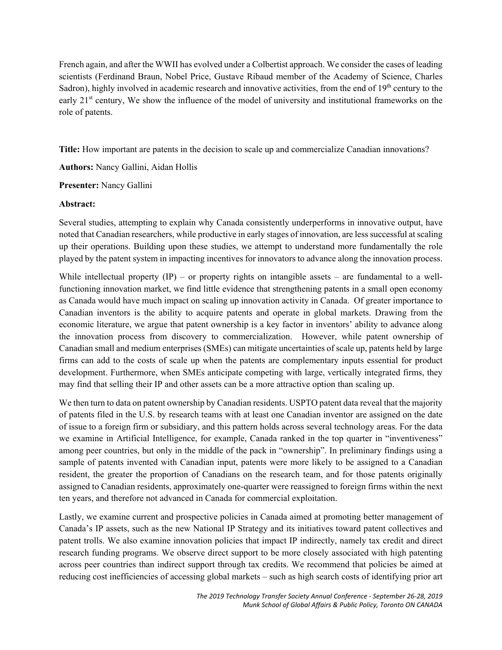French again, and after the WWII has evolved under a Colbertist approach. We consider the cases of leading scientists (Ferdinand Braun, Nobel Price, Gustave Ribaud member of the Academy of Science, Charles Sadron), highly involved in academic research and innovative activities, from the end of  $19<sup>th</sup>$  century to the early 21<sup>st</sup> century, We show the influence of the model of university and institutional frameworks on the role of patents.

**Title:** How important are patents in the decision to scale up and commercialize Canadian innovations?

**Authors:** Nancy Gallini, Aidan Hollis

**Presenter:** Nancy Gallini

### **Abstract:**

Several studies, attempting to explain why Canada consistently underperforms in innovative output, have noted that Canadian researchers, while productive in early stages of innovation, are less successful at scaling up their operations. Building upon these studies, we attempt to understand more fundamentally the role played by the patent system in impacting incentives for innovators to advance along the innovation process.

While intellectual property  $(IP)$  – or property rights on intangible assets – are fundamental to a wellfunctioning innovation market, we find little evidence that strengthening patents in a small open economy as Canada would have much impact on scaling up innovation activity in Canada. Of greater importance to Canadian inventors is the ability to acquire patents and operate in global markets. Drawing from the economic literature, we argue that patent ownership is a key factor in inventors' ability to advance along the innovation process from discovery to commercialization. However, while patent ownership of Canadian small and medium enterprises (SMEs) can mitigate uncertainties of scale up, patents held by large firms can add to the costs of scale up when the patents are complementary inputs essential for product development. Furthermore, when SMEs anticipate competing with large, vertically integrated firms, they may find that selling their IP and other assets can be a more attractive option than scaling up.

We then turn to data on patent ownership by Canadian residents. USPTO patent data reveal that the majority of patents filed in the U.S. by research teams with at least one Canadian inventor are assigned on the date of issue to a foreign firm or subsidiary, and this pattern holds across several technology areas. For the data we examine in Artificial Intelligence, for example, Canada ranked in the top quarter in "inventiveness" among peer countries, but only in the middle of the pack in "ownership". In preliminary findings using a sample of patents invented with Canadian input, patents were more likely to be assigned to a Canadian resident, the greater the proportion of Canadians on the research team, and for those patents originally assigned to Canadian residents, approximately one-quarter were reassigned to foreign firms within the next ten years, and therefore not advanced in Canada for commercial exploitation.

Lastly, we examine current and prospective policies in Canada aimed at promoting better management of Canada's IP assets, such as the new National IP Strategy and its initiatives toward patent collectives and patent trolls. We also examine innovation policies that impact IP indirectly, namely tax credit and direct research funding programs. We observe direct support to be more closely associated with high patenting across peer countries than indirect support through tax credits. We recommend that policies be aimed at reducing cost inefficiencies of accessing global markets – such as high search costs of identifying prior art